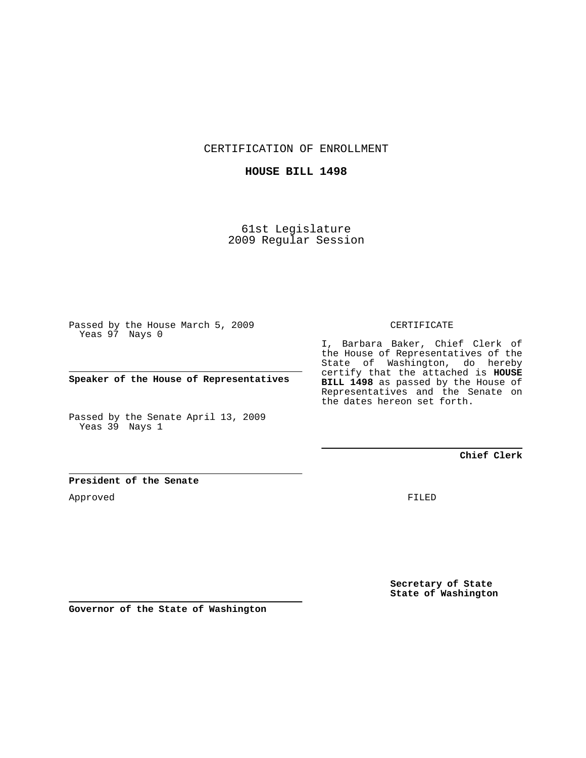CERTIFICATION OF ENROLLMENT

### **HOUSE BILL 1498**

61st Legislature 2009 Regular Session

Passed by the House March 5, 2009 Yeas 97 Nays 0

**Speaker of the House of Representatives**

Passed by the Senate April 13, 2009 Yeas 39 Nays 1

#### CERTIFICATE

I, Barbara Baker, Chief Clerk of the House of Representatives of the State of Washington, do hereby certify that the attached is **HOUSE BILL 1498** as passed by the House of Representatives and the Senate on the dates hereon set forth.

**Chief Clerk**

### **President of the Senate**

Approved

FILED

**Secretary of State State of Washington**

**Governor of the State of Washington**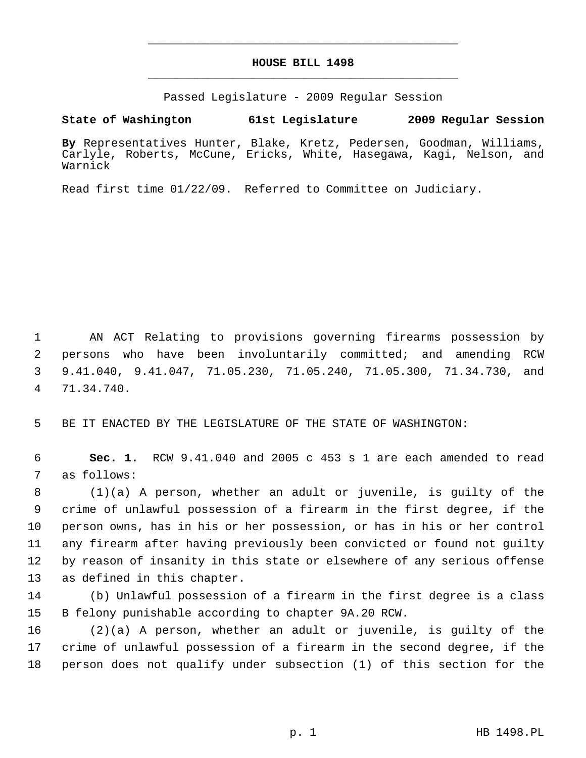# **HOUSE BILL 1498** \_\_\_\_\_\_\_\_\_\_\_\_\_\_\_\_\_\_\_\_\_\_\_\_\_\_\_\_\_\_\_\_\_\_\_\_\_\_\_\_\_\_\_\_\_

\_\_\_\_\_\_\_\_\_\_\_\_\_\_\_\_\_\_\_\_\_\_\_\_\_\_\_\_\_\_\_\_\_\_\_\_\_\_\_\_\_\_\_\_\_

Passed Legislature - 2009 Regular Session

**State of Washington 61st Legislature 2009 Regular Session**

**By** Representatives Hunter, Blake, Kretz, Pedersen, Goodman, Williams, Carlyle, Roberts, McCune, Ericks, White, Hasegawa, Kagi, Nelson, and Warnick

Read first time 01/22/09. Referred to Committee on Judiciary.

 1 AN ACT Relating to provisions governing firearms possession by 2 persons who have been involuntarily committed; and amending RCW 3 9.41.040, 9.41.047, 71.05.230, 71.05.240, 71.05.300, 71.34.730, and 4 71.34.740.

5 BE IT ENACTED BY THE LEGISLATURE OF THE STATE OF WASHINGTON:

 6 **Sec. 1.** RCW 9.41.040 and 2005 c 453 s 1 are each amended to read 7 as follows:

 8 (1)(a) A person, whether an adult or juvenile, is guilty of the 9 crime of unlawful possession of a firearm in the first degree, if the 10 person owns, has in his or her possession, or has in his or her control 11 any firearm after having previously been convicted or found not guilty 12 by reason of insanity in this state or elsewhere of any serious offense 13 as defined in this chapter.

14 (b) Unlawful possession of a firearm in the first degree is a class 15 B felony punishable according to chapter 9A.20 RCW.

16 (2)(a) A person, whether an adult or juvenile, is guilty of the 17 crime of unlawful possession of a firearm in the second degree, if the 18 person does not qualify under subsection (1) of this section for the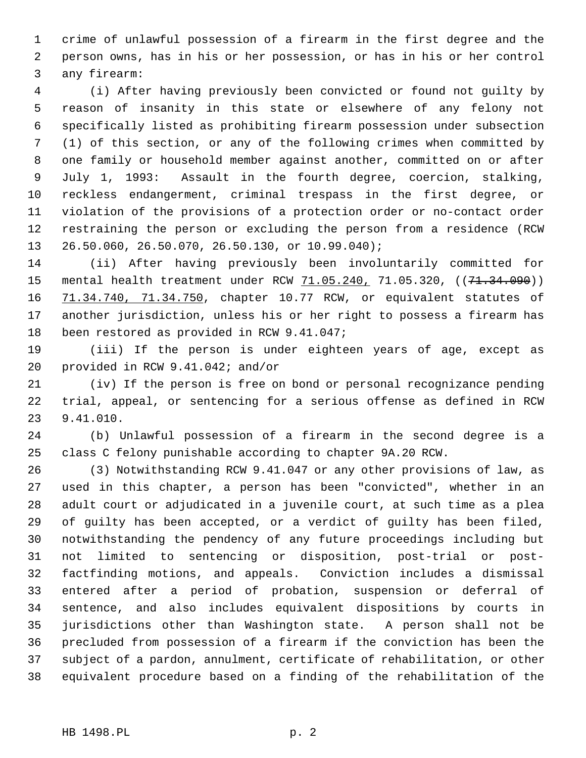1 crime of unlawful possession of a firearm in the first degree and the 2 person owns, has in his or her possession, or has in his or her control 3 any firearm:

 4 (i) After having previously been convicted or found not guilty by 5 reason of insanity in this state or elsewhere of any felony not 6 specifically listed as prohibiting firearm possession under subsection 7 (1) of this section, or any of the following crimes when committed by 8 one family or household member against another, committed on or after 9 July 1, 1993: Assault in the fourth degree, coercion, stalking, 10 reckless endangerment, criminal trespass in the first degree, or 11 violation of the provisions of a protection order or no-contact order 12 restraining the person or excluding the person from a residence (RCW 13 26.50.060, 26.50.070, 26.50.130, or 10.99.040);

14 (ii) After having previously been involuntarily committed for 15 mental health treatment under RCW 71.05.240, 71.05.320, ((71.34.090)) 16 71.34.740, 71.34.750, chapter 10.77 RCW, or equivalent statutes of 17 another jurisdiction, unless his or her right to possess a firearm has 18 been restored as provided in RCW 9.41.047;

19 (iii) If the person is under eighteen years of age, except as 20 provided in RCW 9.41.042; and/or

21 (iv) If the person is free on bond or personal recognizance pending 22 trial, appeal, or sentencing for a serious offense as defined in RCW 23 9.41.010.

24 (b) Unlawful possession of a firearm in the second degree is a 25 class C felony punishable according to chapter 9A.20 RCW.

26 (3) Notwithstanding RCW 9.41.047 or any other provisions of law, as 27 used in this chapter, a person has been "convicted", whether in an 28 adult court or adjudicated in a juvenile court, at such time as a plea 29 of guilty has been accepted, or a verdict of guilty has been filed, 30 notwithstanding the pendency of any future proceedings including but 31 not limited to sentencing or disposition, post-trial or post-32 factfinding motions, and appeals. Conviction includes a dismissal 33 entered after a period of probation, suspension or deferral of 34 sentence, and also includes equivalent dispositions by courts in 35 jurisdictions other than Washington state. A person shall not be 36 precluded from possession of a firearm if the conviction has been the 37 subject of a pardon, annulment, certificate of rehabilitation, or other 38 equivalent procedure based on a finding of the rehabilitation of the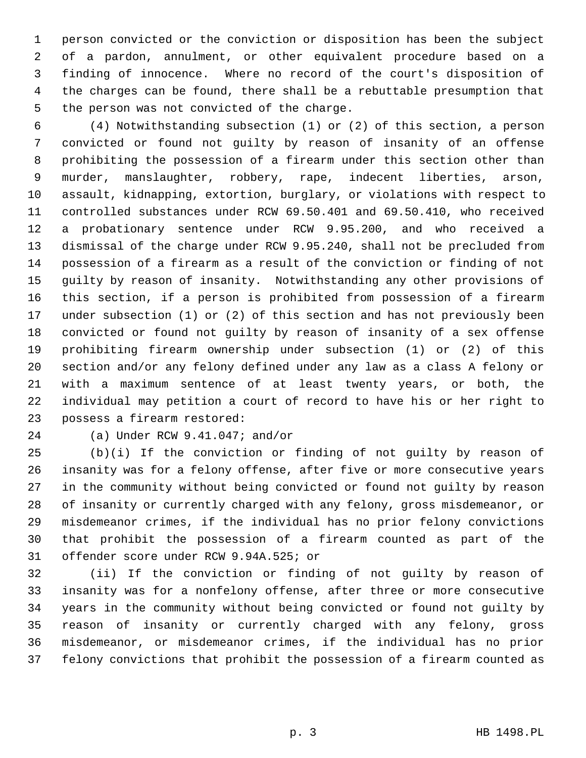1 person convicted or the conviction or disposition has been the subject 2 of a pardon, annulment, or other equivalent procedure based on a 3 finding of innocence. Where no record of the court's disposition of 4 the charges can be found, there shall be a rebuttable presumption that 5 the person was not convicted of the charge.

 6 (4) Notwithstanding subsection (1) or (2) of this section, a person 7 convicted or found not guilty by reason of insanity of an offense 8 prohibiting the possession of a firearm under this section other than 9 murder, manslaughter, robbery, rape, indecent liberties, arson, 10 assault, kidnapping, extortion, burglary, or violations with respect to 11 controlled substances under RCW 69.50.401 and 69.50.410, who received 12 a probationary sentence under RCW 9.95.200, and who received a 13 dismissal of the charge under RCW 9.95.240, shall not be precluded from 14 possession of a firearm as a result of the conviction or finding of not 15 guilty by reason of insanity. Notwithstanding any other provisions of 16 this section, if a person is prohibited from possession of a firearm 17 under subsection (1) or (2) of this section and has not previously been 18 convicted or found not guilty by reason of insanity of a sex offense 19 prohibiting firearm ownership under subsection (1) or (2) of this 20 section and/or any felony defined under any law as a class A felony or 21 with a maximum sentence of at least twenty years, or both, the 22 individual may petition a court of record to have his or her right to 23 possess a firearm restored:

## 24 (a) Under RCW 9.41.047; and/or

25 (b)(i) If the conviction or finding of not guilty by reason of 26 insanity was for a felony offense, after five or more consecutive years 27 in the community without being convicted or found not guilty by reason 28 of insanity or currently charged with any felony, gross misdemeanor, or 29 misdemeanor crimes, if the individual has no prior felony convictions 30 that prohibit the possession of a firearm counted as part of the 31 offender score under RCW 9.94A.525; or

32 (ii) If the conviction or finding of not guilty by reason of 33 insanity was for a nonfelony offense, after three or more consecutive 34 years in the community without being convicted or found not guilty by 35 reason of insanity or currently charged with any felony, gross 36 misdemeanor, or misdemeanor crimes, if the individual has no prior 37 felony convictions that prohibit the possession of a firearm counted as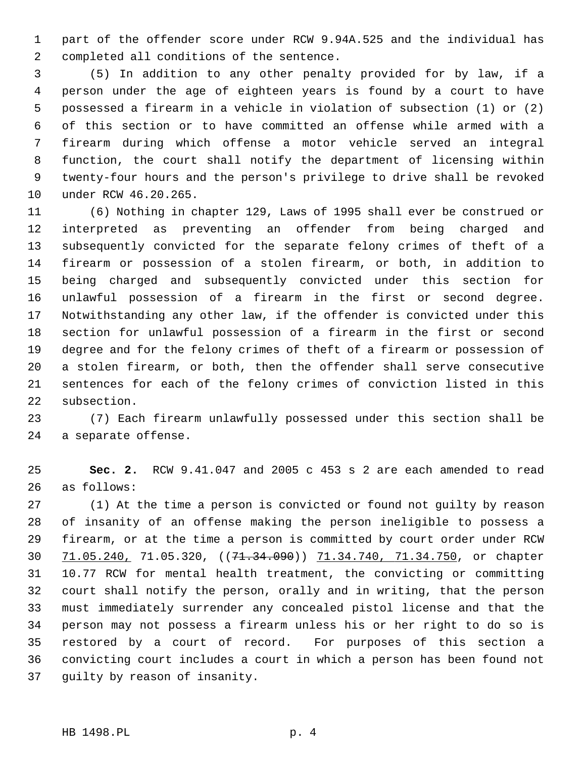1 part of the offender score under RCW 9.94A.525 and the individual has 2 completed all conditions of the sentence.

 3 (5) In addition to any other penalty provided for by law, if a 4 person under the age of eighteen years is found by a court to have 5 possessed a firearm in a vehicle in violation of subsection (1) or (2) 6 of this section or to have committed an offense while armed with a 7 firearm during which offense a motor vehicle served an integral 8 function, the court shall notify the department of licensing within 9 twenty-four hours and the person's privilege to drive shall be revoked 10 under RCW 46.20.265.

11 (6) Nothing in chapter 129, Laws of 1995 shall ever be construed or 12 interpreted as preventing an offender from being charged and 13 subsequently convicted for the separate felony crimes of theft of a 14 firearm or possession of a stolen firearm, or both, in addition to 15 being charged and subsequently convicted under this section for 16 unlawful possession of a firearm in the first or second degree. 17 Notwithstanding any other law, if the offender is convicted under this 18 section for unlawful possession of a firearm in the first or second 19 degree and for the felony crimes of theft of a firearm or possession of 20 a stolen firearm, or both, then the offender shall serve consecutive 21 sentences for each of the felony crimes of conviction listed in this 22 subsection.

23 (7) Each firearm unlawfully possessed under this section shall be 24 a separate offense.

25 **Sec. 2.** RCW 9.41.047 and 2005 c 453 s 2 are each amended to read 26 as follows:

27 (1) At the time a person is convicted or found not guilty by reason 28 of insanity of an offense making the person ineligible to possess a 29 firearm, or at the time a person is committed by court order under RCW 30 71.05.240, 71.05.320, ((71.34.090)) 71.34.740, 71.34.750, or chapter 31 10.77 RCW for mental health treatment, the convicting or committing 32 court shall notify the person, orally and in writing, that the person 33 must immediately surrender any concealed pistol license and that the 34 person may not possess a firearm unless his or her right to do so is 35 restored by a court of record. For purposes of this section a 36 convicting court includes a court in which a person has been found not 37 guilty by reason of insanity.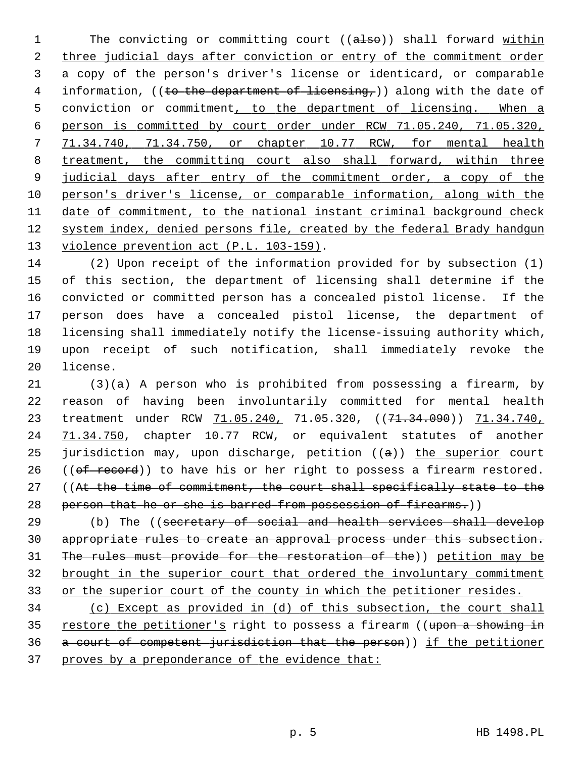1 The convicting or committing court ((also)) shall forward within 2 three judicial days after conviction or entry of the commitment order 3 a copy of the person's driver's license or identicard, or comparable 4 information, ((to the department of licensing,)) along with the date of 5 conviction or commitment, to the department of licensing. When a 6 person is committed by court order under RCW 71.05.240, 71.05.320, 7 71.34.740, 71.34.750, or chapter 10.77 RCW, for mental health 8 treatment, the committing court also shall forward, within three 9 judicial days after entry of the commitment order, a copy of the 10 person's driver's license, or comparable information, along with the 11 date of commitment, to the national instant criminal background check 12 system index, denied persons file, created by the federal Brady handgun 13 violence prevention act (P.L. 103-159).

14 (2) Upon receipt of the information provided for by subsection (1) 15 of this section, the department of licensing shall determine if the 16 convicted or committed person has a concealed pistol license. If the 17 person does have a concealed pistol license, the department of 18 licensing shall immediately notify the license-issuing authority which, 19 upon receipt of such notification, shall immediately revoke the 20 license.

21 (3)(a) A person who is prohibited from possessing a firearm, by 22 reason of having been involuntarily committed for mental health 23 treatment under RCW  $71.05.240$ , 71.05.320, ((71.34.090)) 71.34.740, 24 71.34.750, chapter 10.77 RCW, or equivalent statutes of another 25 jurisdiction may, upon discharge, petition  $((a))$  the superior court 26 ( $(\theta f \text{ record})$ ) to have his or her right to possess a firearm restored. 27 ((At the time of commitment, the court shall specifically state to the 28 person that he or she is barred from possession of firearms.))

29 (b) The ((secretary of social and health services shall develop appropriate rules to create an approval process under this subsection. The rules must provide for the restoration of the)) petition may be brought in the superior court that ordered the involuntary commitment or the superior court of the county in which the petitioner resides.

 (c) Except as provided in (d) of this subsection, the court shall 35 restore the petitioner's right to possess a firearm ((upon a showing in a court of competent jurisdiction that the person)) if the petitioner proves by a preponderance of the evidence that: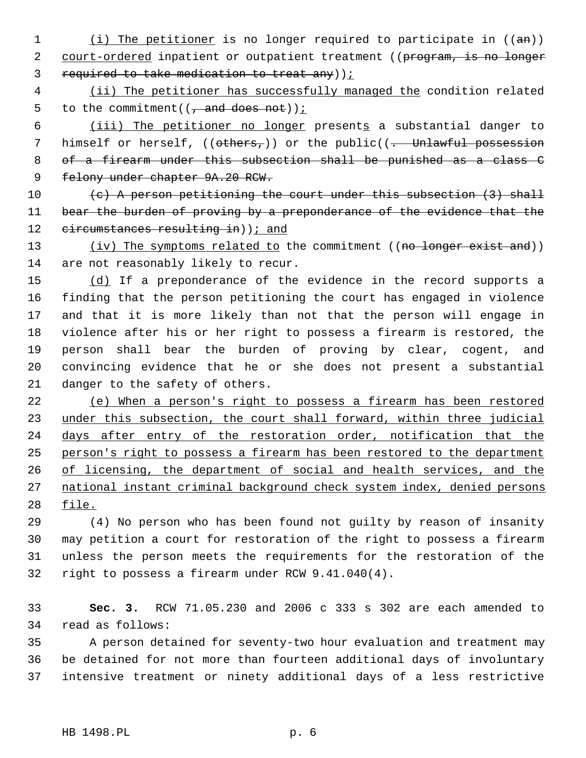- 1 (i) The petitioner is no longer required to participate in  $((an))$ 2 court-ordered inpatient or outpatient treatment ((program, is no longer 3 required to take medication to treat any));
- 4 (ii) The petitioner has successfully managed the condition related 5 to the commitment( $\left(\frac{1}{1} \text{ and does not}\right)$ );

6 (iii) The petitioner no longer presents a substantial danger to 7 himself or herself,  $((others<sub>r</sub>))$  or the public $((... )$  Unlawful possession 8 of a firearm under this subsection shall be punished as a class C 9 felony under chapter 9A.20 RCW.

10  $(e)$  A person petitioning the court under this subsection  $(3)$  shall 11 bear the burden of proving by a preponderance of the evidence that the 12 circumstances resulting in) ); and

13 (iv) The symptoms related to the commitment ((no longer exist and)) 14 are not reasonably likely to recur.

15 (d) If a preponderance of the evidence in the record supports a 16 finding that the person petitioning the court has engaged in violence 17 and that it is more likely than not that the person will engage in 18 violence after his or her right to possess a firearm is restored, the 19 person shall bear the burden of proving by clear, cogent, and 20 convincing evidence that he or she does not present a substantial 21 danger to the safety of others.

 (e) When a person's right to possess a firearm has been restored 23 under this subsection, the court shall forward, within three judicial days after entry of the restoration order, notification that the person's right to possess a firearm has been restored to the department of licensing, the department of social and health services, and the national instant criminal background check system index, denied persons 28 file.

29 (4) No person who has been found not guilty by reason of insanity 30 may petition a court for restoration of the right to possess a firearm 31 unless the person meets the requirements for the restoration of the 32 right to possess a firearm under RCW 9.41.040(4).

33 **Sec. 3.** RCW 71.05.230 and 2006 c 333 s 302 are each amended to 34 read as follows:

35 A person detained for seventy-two hour evaluation and treatment may 36 be detained for not more than fourteen additional days of involuntary 37 intensive treatment or ninety additional days of a less restrictive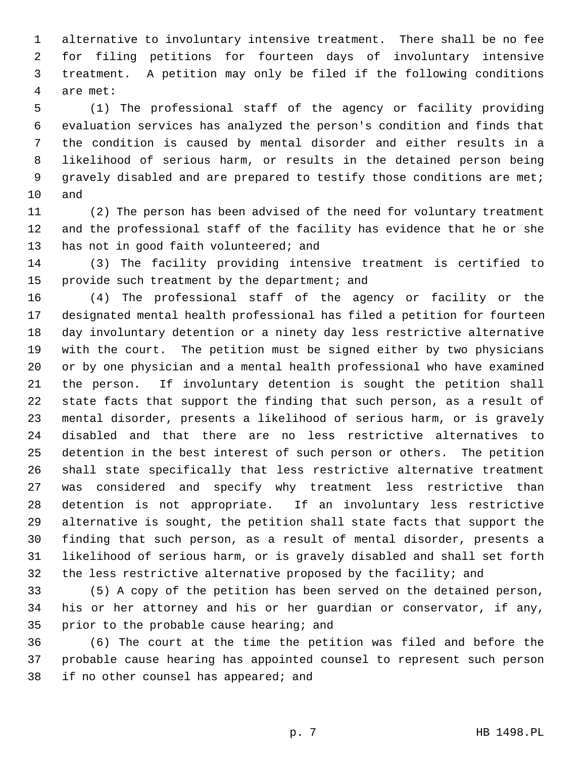1 alternative to involuntary intensive treatment. There shall be no fee 2 for filing petitions for fourteen days of involuntary intensive 3 treatment. A petition may only be filed if the following conditions 4 are met:

 5 (1) The professional staff of the agency or facility providing 6 evaluation services has analyzed the person's condition and finds that 7 the condition is caused by mental disorder and either results in a 8 likelihood of serious harm, or results in the detained person being 9 gravely disabled and are prepared to testify those conditions are met; 10 and

11 (2) The person has been advised of the need for voluntary treatment 12 and the professional staff of the facility has evidence that he or she 13 has not in good faith volunteered; and

14 (3) The facility providing intensive treatment is certified to 15 provide such treatment by the department; and

16 (4) The professional staff of the agency or facility or the 17 designated mental health professional has filed a petition for fourteen 18 day involuntary detention or a ninety day less restrictive alternative 19 with the court. The petition must be signed either by two physicians 20 or by one physician and a mental health professional who have examined 21 the person. If involuntary detention is sought the petition shall 22 state facts that support the finding that such person, as a result of 23 mental disorder, presents a likelihood of serious harm, or is gravely 24 disabled and that there are no less restrictive alternatives to 25 detention in the best interest of such person or others. The petition 26 shall state specifically that less restrictive alternative treatment 27 was considered and specify why treatment less restrictive than 28 detention is not appropriate. If an involuntary less restrictive 29 alternative is sought, the petition shall state facts that support the 30 finding that such person, as a result of mental disorder, presents a 31 likelihood of serious harm, or is gravely disabled and shall set forth 32 the less restrictive alternative proposed by the facility; and

33 (5) A copy of the petition has been served on the detained person, 34 his or her attorney and his or her guardian or conservator, if any, 35 prior to the probable cause hearing; and

36 (6) The court at the time the petition was filed and before the 37 probable cause hearing has appointed counsel to represent such person 38 if no other counsel has appeared; and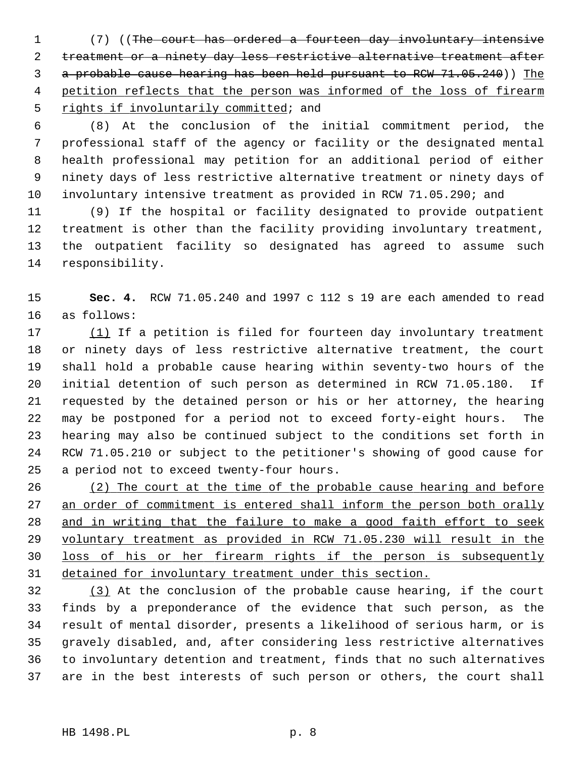1 (7) ((The court has ordered a fourteen day involuntary intensive 2 treatment or a ninety day less restrictive alternative treatment after 3 a probable cause hearing has been held pursuant to RCW 71.05.240)) The 4 petition reflects that the person was informed of the loss of firearm 5 rights if involuntarily committed; and

 6 (8) At the conclusion of the initial commitment period, the 7 professional staff of the agency or facility or the designated mental 8 health professional may petition for an additional period of either 9 ninety days of less restrictive alternative treatment or ninety days of 10 involuntary intensive treatment as provided in RCW 71.05.290; and

11 (9) If the hospital or facility designated to provide outpatient 12 treatment is other than the facility providing involuntary treatment, 13 the outpatient facility so designated has agreed to assume such 14 responsibility.

15 **Sec. 4.** RCW 71.05.240 and 1997 c 112 s 19 are each amended to read 16 as follows:

17 (1) If a petition is filed for fourteen day involuntary treatment 18 or ninety days of less restrictive alternative treatment, the court 19 shall hold a probable cause hearing within seventy-two hours of the 20 initial detention of such person as determined in RCW 71.05.180. If 21 requested by the detained person or his or her attorney, the hearing 22 may be postponed for a period not to exceed forty-eight hours. The 23 hearing may also be continued subject to the conditions set forth in 24 RCW 71.05.210 or subject to the petitioner's showing of good cause for 25 a period not to exceed twenty-four hours.

 (2) The court at the time of the probable cause hearing and before 27 an order of commitment is entered shall inform the person both orally and in writing that the failure to make a good faith effort to seek voluntary treatment as provided in RCW 71.05.230 will result in the loss of his or her firearm rights if the person is subsequently detained for involuntary treatment under this section.

32 (3) At the conclusion of the probable cause hearing, if the court 33 finds by a preponderance of the evidence that such person, as the 34 result of mental disorder, presents a likelihood of serious harm, or is 35 gravely disabled, and, after considering less restrictive alternatives 36 to involuntary detention and treatment, finds that no such alternatives 37 are in the best interests of such person or others, the court shall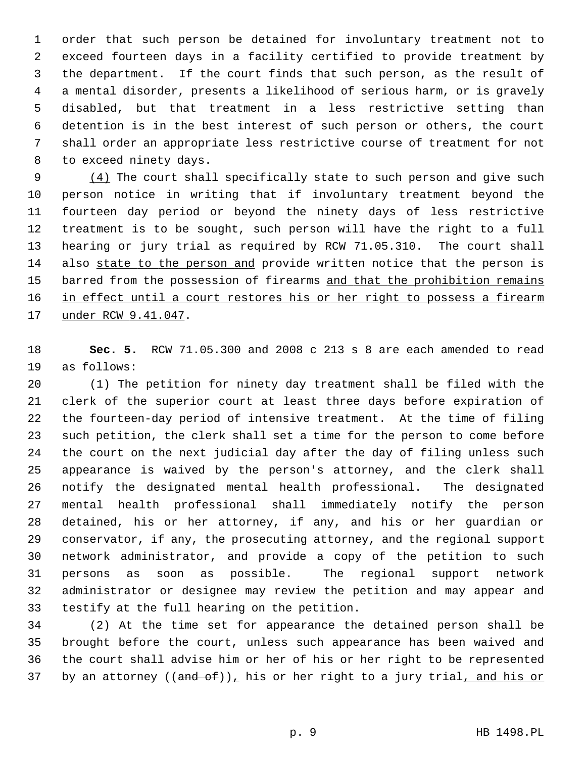1 order that such person be detained for involuntary treatment not to 2 exceed fourteen days in a facility certified to provide treatment by 3 the department. If the court finds that such person, as the result of 4 a mental disorder, presents a likelihood of serious harm, or is gravely 5 disabled, but that treatment in a less restrictive setting than 6 detention is in the best interest of such person or others, the court 7 shall order an appropriate less restrictive course of treatment for not 8 to exceed ninety days.

 9 (4) The court shall specifically state to such person and give such 10 person notice in writing that if involuntary treatment beyond the 11 fourteen day period or beyond the ninety days of less restrictive 12 treatment is to be sought, such person will have the right to a full 13 hearing or jury trial as required by RCW 71.05.310. The court shall 14 also state to the person and provide written notice that the person is 15 barred from the possession of firearms and that the prohibition remains 16 in effect until a court restores his or her right to possess a firearm 17 under RCW 9.41.047.

18 **Sec. 5.** RCW 71.05.300 and 2008 c 213 s 8 are each amended to read 19 as follows:

20 (1) The petition for ninety day treatment shall be filed with the 21 clerk of the superior court at least three days before expiration of 22 the fourteen-day period of intensive treatment. At the time of filing 23 such petition, the clerk shall set a time for the person to come before 24 the court on the next judicial day after the day of filing unless such 25 appearance is waived by the person's attorney, and the clerk shall 26 notify the designated mental health professional. The designated 27 mental health professional shall immediately notify the person 28 detained, his or her attorney, if any, and his or her guardian or 29 conservator, if any, the prosecuting attorney, and the regional support 30 network administrator, and provide a copy of the petition to such 31 persons as soon as possible. The regional support network 32 administrator or designee may review the petition and may appear and 33 testify at the full hearing on the petition.

34 (2) At the time set for appearance the detained person shall be 35 brought before the court, unless such appearance has been waived and 36 the court shall advise him or her of his or her right to be represented 37 by an attorney  $((and of))_L$  his or her right to a jury trial, and his or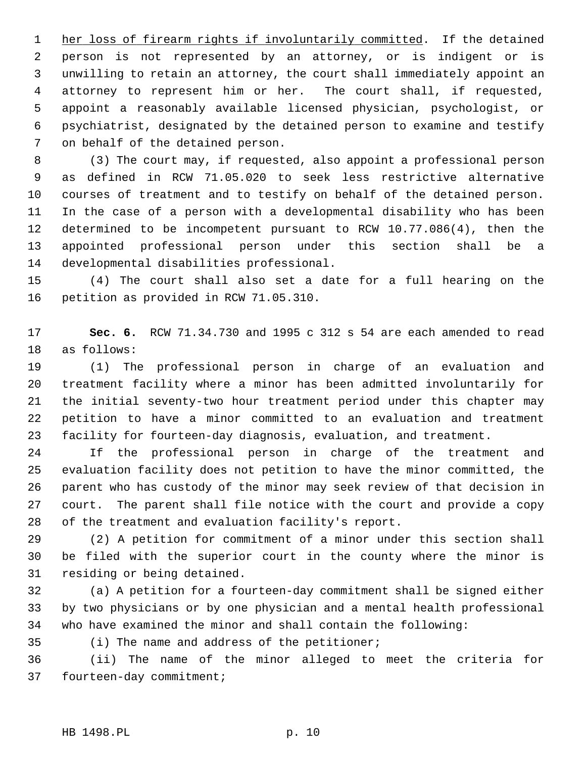1 her loss of firearm rights if involuntarily committed. If the detained 2 person is not represented by an attorney, or is indigent or is 3 unwilling to retain an attorney, the court shall immediately appoint an 4 attorney to represent him or her. The court shall, if requested, 5 appoint a reasonably available licensed physician, psychologist, or 6 psychiatrist, designated by the detained person to examine and testify 7 on behalf of the detained person.

 8 (3) The court may, if requested, also appoint a professional person 9 as defined in RCW 71.05.020 to seek less restrictive alternative 10 courses of treatment and to testify on behalf of the detained person. 11 In the case of a person with a developmental disability who has been 12 determined to be incompetent pursuant to RCW 10.77.086(4), then the 13 appointed professional person under this section shall be a 14 developmental disabilities professional.

15 (4) The court shall also set a date for a full hearing on the 16 petition as provided in RCW 71.05.310.

17 **Sec. 6.** RCW 71.34.730 and 1995 c 312 s 54 are each amended to read 18 as follows:

19 (1) The professional person in charge of an evaluation and 20 treatment facility where a minor has been admitted involuntarily for 21 the initial seventy-two hour treatment period under this chapter may 22 petition to have a minor committed to an evaluation and treatment 23 facility for fourteen-day diagnosis, evaluation, and treatment.

24 If the professional person in charge of the treatment and 25 evaluation facility does not petition to have the minor committed, the 26 parent who has custody of the minor may seek review of that decision in 27 court. The parent shall file notice with the court and provide a copy 28 of the treatment and evaluation facility's report.

29 (2) A petition for commitment of a minor under this section shall 30 be filed with the superior court in the county where the minor is 31 residing or being detained.

32 (a) A petition for a fourteen-day commitment shall be signed either 33 by two physicians or by one physician and a mental health professional 34 who have examined the minor and shall contain the following:

35 (i) The name and address of the petitioner;

36 (ii) The name of the minor alleged to meet the criteria for 37 fourteen-day commitment;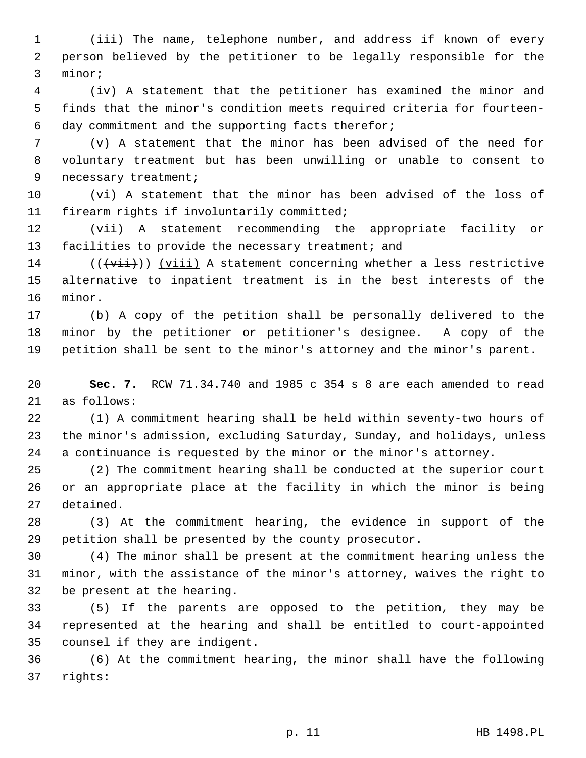1 (iii) The name, telephone number, and address if known of every 2 person believed by the petitioner to be legally responsible for the 3 minor;

 4 (iv) A statement that the petitioner has examined the minor and 5 finds that the minor's condition meets required criteria for fourteen- 6 day commitment and the supporting facts therefor;

 7 (v) A statement that the minor has been advised of the need for 8 voluntary treatment but has been unwilling or unable to consent to 9 necessary treatment;

10 (vi) A statement that the minor has been advised of the loss of 11 firearm rights if involuntarily committed;

12 (vii) A statement recommending the appropriate facility or 13 facilities to provide the necessary treatment; and

14 ( $(\overrightarrow{vii})$ ) (viii) A statement concerning whether a less restrictive 15 alternative to inpatient treatment is in the best interests of the 16 minor.

17 (b) A copy of the petition shall be personally delivered to the 18 minor by the petitioner or petitioner's designee. A copy of the 19 petition shall be sent to the minor's attorney and the minor's parent.

20 **Sec. 7.** RCW 71.34.740 and 1985 c 354 s 8 are each amended to read 21 as follows:

22 (1) A commitment hearing shall be held within seventy-two hours of 23 the minor's admission, excluding Saturday, Sunday, and holidays, unless 24 a continuance is requested by the minor or the minor's attorney.

25 (2) The commitment hearing shall be conducted at the superior court 26 or an appropriate place at the facility in which the minor is being 27 detained.

28 (3) At the commitment hearing, the evidence in support of the 29 petition shall be presented by the county prosecutor.

30 (4) The minor shall be present at the commitment hearing unless the 31 minor, with the assistance of the minor's attorney, waives the right to 32 be present at the hearing.

33 (5) If the parents are opposed to the petition, they may be 34 represented at the hearing and shall be entitled to court-appointed 35 counsel if they are indigent.

36 (6) At the commitment hearing, the minor shall have the following 37 rights: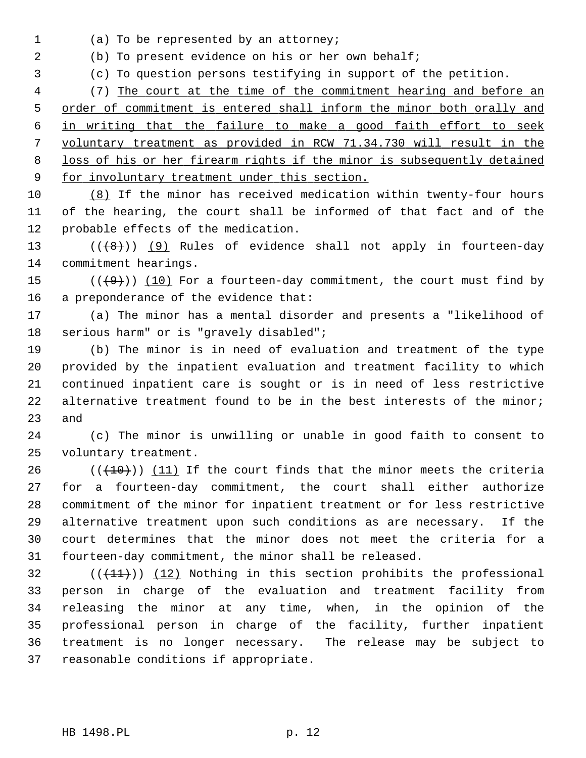1 (a) To be represented by an attorney;

2 (b) To present evidence on his or her own behalf;

3 (c) To question persons testifying in support of the petition.

 4 (7) The court at the time of the commitment hearing and before an order of commitment is entered shall inform the minor both orally and in writing that the failure to make a good faith effort to seek voluntary treatment as provided in RCW 71.34.730 will result in the loss of his or her firearm rights if the minor is subsequently detained for involuntary treatment under this section.

10 (8) If the minor has received medication within twenty-four hours 11 of the hearing, the court shall be informed of that fact and of the 12 probable effects of the medication.

13  $((+8))$  (9) Rules of evidence shall not apply in fourteen-day 14 commitment hearings.

15  $((+9))$  (10) For a fourteen-day commitment, the court must find by 16 a preponderance of the evidence that:

17 (a) The minor has a mental disorder and presents a "likelihood of 18 serious harm" or is "gravely disabled";

19 (b) The minor is in need of evaluation and treatment of the type 20 provided by the inpatient evaluation and treatment facility to which 21 continued inpatient care is sought or is in need of less restrictive 22 alternative treatment found to be in the best interests of the minor; 23 and

24 (c) The minor is unwilling or unable in good faith to consent to 25 voluntary treatment.

26  $((+10))$  (11) If the court finds that the minor meets the criteria 27 for a fourteen-day commitment, the court shall either authorize 28 commitment of the minor for inpatient treatment or for less restrictive 29 alternative treatment upon such conditions as are necessary. If the 30 court determines that the minor does not meet the criteria for a 31 fourteen-day commitment, the minor shall be released.

 $(1)$  (( $(1)$ )) (12) Nothing in this section prohibits the professional 33 person in charge of the evaluation and treatment facility from 34 releasing the minor at any time, when, in the opinion of the 35 professional person in charge of the facility, further inpatient 36 treatment is no longer necessary. The release may be subject to 37 reasonable conditions if appropriate.